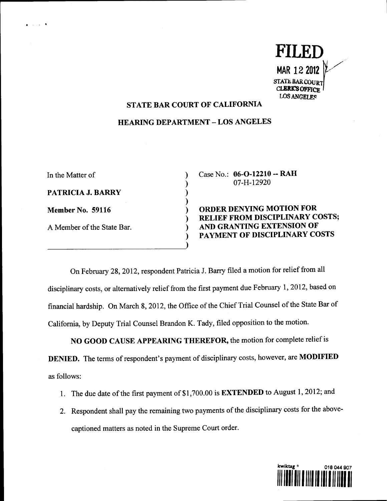

## STATE BAR COURT OF CALIFORNIA

## HEARING DEPARTMENT **-** LOS ANGELES

 $\mathbf{I}$  $\mathcal{E}$  $\mathcal{E}$ ⟩ ℩  $\lambda$ 

In the Matter of PATRICIA J. BARRY **Member No. 59116** A Member of the State Bar.

 $\omega_{\rm{max}}$  .

Case No.: 06-0-12210 -- RAH 07-H-12920

ORDER DENYING MOTION FOR RELIEF FROM DISCIPLINARY COSTS; AND GRANTING EXTENSION OF PAYMENT OF DISCIPLINARY COSTS

On February 28, 2012, respondent Patricia J. Barry filed a motion for relief from all disciplinary costs, or alternatively relief from the first payment due February 1, 2012, based on financial hardship. On March 8, 2012, the Office of the Chief Trial Counsel of the State Bar of Califomia, by Deputy Trial Counsel Brandon K. Tady, filed opposition to the motion.

NO GOOD CAUSE APPEARING THEREFOR, the motion for complete relief is DENIED. The terms of respondent's payment of disciplinary costs, however, are MODIFIED as follows:

- 1. The due date of the first payment of \$1,700.00 is EXTENDED to August 1, 2012; and
- 2. Respondent shall pay the remaining two payments of the disciplinary costs for the abovecaptioned matters as noted in the Supreme Court order.

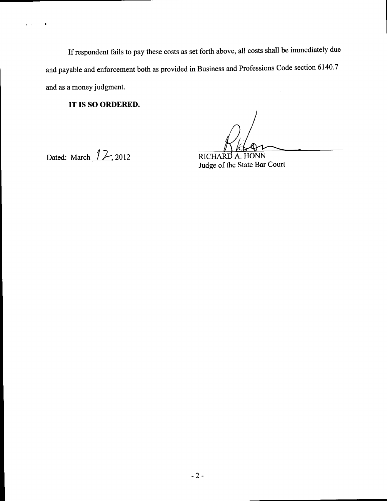If respondent fails to pay these costs as set forth above, all costs shall be immediately due and payable and enforcement both as provided in Business and Professions Code section 6140.7 and as a money judgment.

**IT IS SO ORDERED.**

Dated: March  $\sqrt{2}$ , 2012 RICHARD A. HONN

 $\hat{\mathbf{c}}$  .  $\hat{\mathbf{c}}$ 

 $\ddot{\phantom{a}}$ 

Judge of the State Bar Court